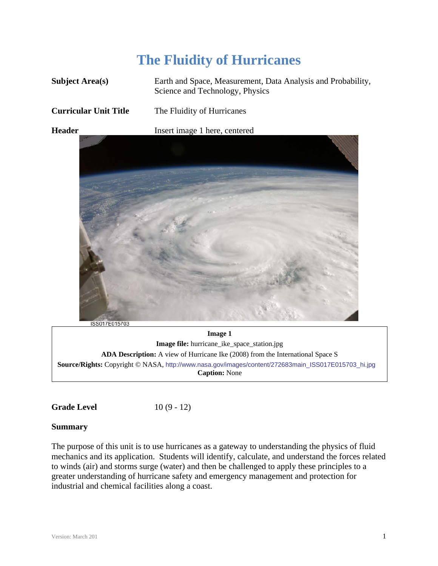# **The Fluidity of Hurricanes**

| <b>Subject Area(s)</b>       | Earth and Space, Measurement, Data Analysis and Probability,<br>Science and Technology, Physics |
|------------------------------|-------------------------------------------------------------------------------------------------|
| <b>Curricular Unit Title</b> | The Fluidity of Hurricanes                                                                      |
| <b>Header</b>                | Insert image 1 here, centered                                                                   |



ISS017E015703

**Image 1 Image file:** hurricane\_ike\_space\_station.jpg **ADA Description:** A view of Hurricane Ike (2008) from the International Space S **Source/Rights:** Copyright © NASA, http://www.nasa.gov/images/content/272683main\_ISS017E015703\_hi.jpg **Caption:** None

**Grade Level** 10 (9 - 12)

# **Summary**

The purpose of this unit is to use hurricanes as a gateway to understanding the physics of fluid mechanics and its application. Students will identify, calculate, and understand the forces related to winds (air) and storms surge (water) and then be challenged to apply these principles to a greater understanding of hurricane safety and emergency management and protection for industrial and chemical facilities along a coast.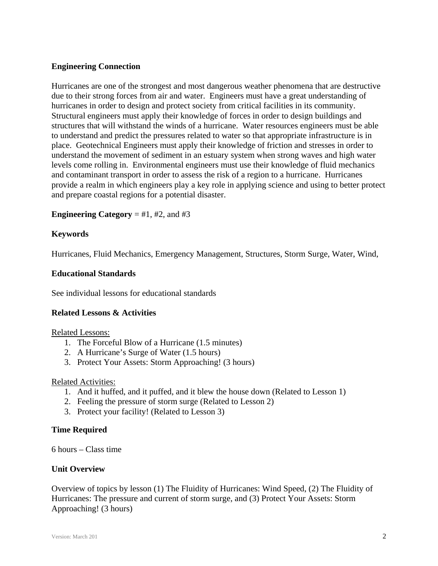# **Engineering Connection**

Hurricanes are one of the strongest and most dangerous weather phenomena that are destructive due to their strong forces from air and water. Engineers must have a great understanding of hurricanes in order to design and protect society from critical facilities in its community. Structural engineers must apply their knowledge of forces in order to design buildings and structures that will withstand the winds of a hurricane. Water resources engineers must be able to understand and predict the pressures related to water so that appropriate infrastructure is in place. Geotechnical Engineers must apply their knowledge of friction and stresses in order to understand the movement of sediment in an estuary system when strong waves and high water levels come rolling in. Environmental engineers must use their knowledge of fluid mechanics and contaminant transport in order to assess the risk of a region to a hurricane. Hurricanes provide a realm in which engineers play a key role in applying science and using to better protect and prepare coastal regions for a potential disaster.

## **Engineering Category**  $=$  #1, #2, and #3

## **Keywords**

Hurricanes, Fluid Mechanics, Emergency Management, Structures, Storm Surge, Water, Wind,

## **Educational Standards**

See individual lessons for educational standards

# **Related Lessons & Activities**

Related Lessons:

- 1. The Forceful Blow of a Hurricane (1.5 minutes)
- 2. A Hurricane's Surge of Water (1.5 hours)
- 3. Protect Your Assets: Storm Approaching! (3 hours)

#### Related Activities:

- 1. And it huffed, and it puffed, and it blew the house down (Related to Lesson 1)
- 2. Feeling the pressure of storm surge (Related to Lesson 2)
- 3. Protect your facility! (Related to Lesson 3)

#### **Time Required**

6 hours – Class time

#### **Unit Overview**

Overview of topics by lesson (1) The Fluidity of Hurricanes: Wind Speed, (2) The Fluidity of Hurricanes: The pressure and current of storm surge, and (3) Protect Your Assets: Storm Approaching! (3 hours)